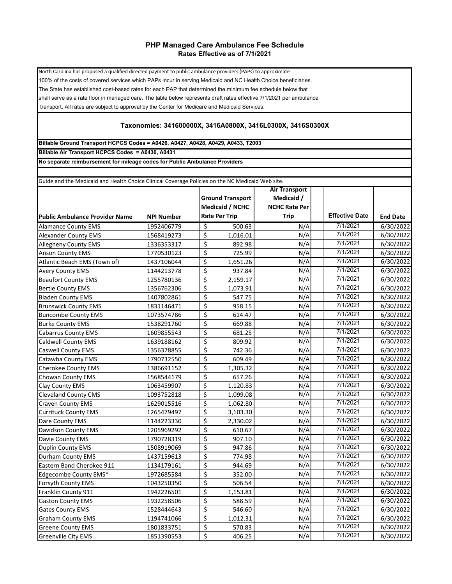## **PHP Managed Care Ambulance Fee Schedule Rates Effective as of 7/1/2021**

North Carolina has proposed a qualified directed payment to public ambulance providers (PAPs) to approximate 100% of the costs of covered services which PAPs incur in serving Medicaid and NC Health Choice beneficiaries. The State has established cost-based rates for each PAP that determined the minimum fee schedule below that shall serve as a rate floor in managed care. The table below represents draft rates effective 7/1/2021 per ambulance transport. All rates are subject to approval by the Center for Medicare and Medicaid Services.

## **Taxonomies: 341600000X, 3416A0800X, 3416L0300X, 3416S0300X**

**Billable Ground Transport HCPCS Codes = A0426, A0427, A0428, A0429, A0433, T2003 Billable Air Transport HCPCS Codes = A0430, A0431**

**No separate reimbursement for mileage codes for Public Ambulance Providers**

| Guide and the Medicaid and Health Choice Clinical Coverage Policies on the NC Medicaid Web site. |                   |                              |                      |  |                       |                 |  |  |  |  |  |  |
|--------------------------------------------------------------------------------------------------|-------------------|------------------------------|----------------------|--|-----------------------|-----------------|--|--|--|--|--|--|
|                                                                                                  |                   |                              | <b>Air Transport</b> |  |                       |                 |  |  |  |  |  |  |
|                                                                                                  |                   | <b>Ground Transport</b>      | Medicaid /           |  |                       |                 |  |  |  |  |  |  |
|                                                                                                  |                   | Medicaid / NCHC              | <b>NCHC Rate Per</b> |  |                       |                 |  |  |  |  |  |  |
| <b>Public Ambulance Provider Name</b>                                                            | <b>NPI Number</b> | <b>Rate Per Trip</b>         | <b>Trip</b>          |  | <b>Effective Date</b> | <b>End Date</b> |  |  |  |  |  |  |
| <b>Alamance County EMS</b>                                                                       | 1952406779        | \$<br>500.63                 | N/A                  |  | 7/1/2021              | 6/30/2022       |  |  |  |  |  |  |
| <b>Alexander County EMS</b>                                                                      | 1568419273        | \$<br>1,016.01               | N/A                  |  | 7/1/2021              | 6/30/2022       |  |  |  |  |  |  |
| <b>Allegheny County EMS</b>                                                                      | 1336353317        | \$<br>892.98                 | N/A                  |  | 7/1/2021              | 6/30/2022       |  |  |  |  |  |  |
| <b>Anson County EMS</b>                                                                          | 1770530123        | \$<br>725.99                 | N/A                  |  | 7/1/2021              | 6/30/2022       |  |  |  |  |  |  |
| Atlantic Beach EMS (Town of)                                                                     | 1437106044        | \$<br>1,651.26               | N/A                  |  | 7/1/2021              | 6/30/2022       |  |  |  |  |  |  |
| <b>Avery County EMS</b>                                                                          | 1144213778        | \$<br>937.84                 | N/A                  |  | 7/1/2021              | 6/30/2022       |  |  |  |  |  |  |
| <b>Beaufort County EMS</b>                                                                       | 1255780136        | \$<br>2,159.17               | N/A                  |  | 7/1/2021              | 6/30/2022       |  |  |  |  |  |  |
| <b>Bertie County EMS</b>                                                                         | 1356762306        | \$<br>1,073.91               | N/A                  |  | 7/1/2021              | 6/30/2022       |  |  |  |  |  |  |
| <b>Bladen County EMS</b>                                                                         | 1407802861        | $\overline{\xi}$<br>547.75   | N/A                  |  | 7/1/2021              | 6/30/2022       |  |  |  |  |  |  |
| <b>Brunswick County EMS</b>                                                                      | 1831146471        | \$<br>958.15                 | N/A                  |  | 7/1/2021              | 6/30/2022       |  |  |  |  |  |  |
| <b>Buncombe County EMS</b>                                                                       | 1073574786        | \$<br>614.47                 | N/A                  |  | 7/1/2021              | 6/30/2022       |  |  |  |  |  |  |
| <b>Burke County EMS</b>                                                                          | 1538291760        | \$<br>669.88                 | N/A                  |  | 7/1/2021              | 6/30/2022       |  |  |  |  |  |  |
| <b>Cabarrus County EMS</b>                                                                       | 1609855543        | \$<br>681.25                 | N/A                  |  | 7/1/2021              | 6/30/2022       |  |  |  |  |  |  |
| <b>Caldwell County EMS</b>                                                                       | 1639188162        | \$<br>809.92                 | N/A                  |  | 7/1/2021              | 6/30/2022       |  |  |  |  |  |  |
| <b>Caswell County EMS</b>                                                                        | 1356378855        | $\overline{\xi}$<br>742.36   | N/A                  |  | 7/1/2021              | 6/30/2022       |  |  |  |  |  |  |
| Catawba County EMS                                                                               | 1790732550        | \$<br>609.49                 | N/A                  |  | 7/1/2021              | 6/30/2022       |  |  |  |  |  |  |
| <b>Cherokee County EMS</b>                                                                       | 1386691152        | \$<br>1,305.32               | N/A                  |  | 7/1/2021              | 6/30/2022       |  |  |  |  |  |  |
| <b>Chowan County EMS</b>                                                                         | 1568544179        | \$<br>657.26                 | N/A                  |  | 7/1/2021              | 6/30/2022       |  |  |  |  |  |  |
| Clay County EMS                                                                                  | 1063459907        | \$<br>1,120.83               | N/A                  |  | 7/1/2021              | 6/30/2022       |  |  |  |  |  |  |
| <b>Cleveland County CMS</b>                                                                      | 1093752818        | \$<br>1,099.08               | N/A                  |  | 7/1/2021              | 6/30/2022       |  |  |  |  |  |  |
| Craven County EMS                                                                                | 1629015516        | $\overline{\xi}$<br>1,062.80 | N/A                  |  | 7/1/2021              | 6/30/2022       |  |  |  |  |  |  |
| <b>Currituck County EMS</b>                                                                      | 1265479497        | \$<br>3,103.30               | N/A                  |  | 7/1/2021              | 6/30/2022       |  |  |  |  |  |  |
| Dare County EMS                                                                                  | 1144223330        | \$<br>2,330.02               | N/A                  |  | 7/1/2021              | 6/30/2022       |  |  |  |  |  |  |
| Davidson County EMS                                                                              | 1205969292        | \$<br>610.67                 | N/A                  |  | 7/1/2021              | 6/30/2022       |  |  |  |  |  |  |
| Davie County EMS                                                                                 | 1790728319        | $\overline{\xi}$<br>907.10   | N/A                  |  | 7/1/2021              | 6/30/2022       |  |  |  |  |  |  |
| <b>Duplin County EMS</b>                                                                         | 1508919069        | $\overline{\xi}$<br>947.86   | N/A                  |  | 7/1/2021              | 6/30/2022       |  |  |  |  |  |  |
| Durham County EMS                                                                                | 1437159613        | \$<br>774.98                 | N/A                  |  | 7/1/2021              | 6/30/2022       |  |  |  |  |  |  |
| Eastern Band Cherokee 911                                                                        | 1134179161        | $\overline{\xi}$<br>944.69   | N/A                  |  | 7/1/2021              | 6/30/2022       |  |  |  |  |  |  |
| Edgecombe County EMS*                                                                            | 1972685584        | \$<br>352.00                 | N/A                  |  | 7/1/2021              | 6/30/2022       |  |  |  |  |  |  |
| Forsyth County EMS                                                                               | 1043250350        | \$<br>506.54                 | N/A                  |  | 7/1/2021              | 6/30/2022       |  |  |  |  |  |  |
| Franklin County 911                                                                              | 1942226501        | \$<br>1,153.81               | N/A                  |  | 7/1/2021              | 6/30/2022       |  |  |  |  |  |  |
| <b>Gaston County EMS</b>                                                                         | 1932258506        | \$<br>588.59                 | N/A                  |  | 7/1/2021              | 6/30/2022       |  |  |  |  |  |  |
| <b>Gates County EMS</b>                                                                          | 1528444643        | \$<br>546.60                 | N/A                  |  | 7/1/2021              | 6/30/2022       |  |  |  |  |  |  |
| <b>Graham County EMS</b>                                                                         | 1194741066        | \$<br>1,012.31               | N/A                  |  | 7/1/2021              | 6/30/2022       |  |  |  |  |  |  |
| <b>Greene County EMS</b>                                                                         | 1801833751        | \$<br>570.83                 | N/A                  |  | 7/1/2021              | 6/30/2022       |  |  |  |  |  |  |
| <b>Greenville City EMS</b>                                                                       | 1851390553        | \$<br>406.25                 | N/A                  |  | 7/1/2021              | 6/30/2022       |  |  |  |  |  |  |